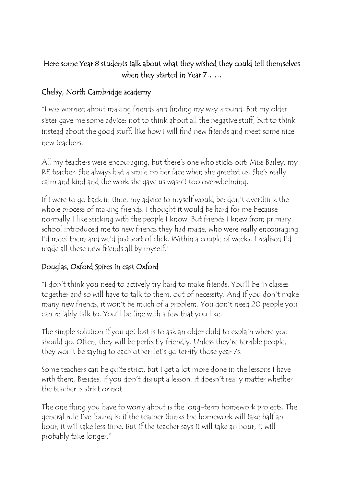# Here some Year 8 students talk about what they wished they could tell themselves when they started in Year 7……

#### Chelsy, North Cambridge academy

"I was worried about making friends and finding my way around. But my older sister gave me some advice: not to think about all the negative stuff, but to think instead about the good stuff, like how I will find new friends and meet some nice new teachers.

All my teachers were encouraging, but there's one who sticks out: Miss Bailey, my RE teacher. She always had a smile on her face when she greeted us. She's really calm and kind and the work she gave us wasn't too overwhelming.

If I were to go back in time, my advice to myself would be: don't overthink the whole process of making friends. I thought it would be hard for me because normally I like sticking with the people I know. But friends I knew from primary school introduced me to new friends they had made, who were really encouraging. I'd meet them and we'd just sort of click. Within a couple of weeks, I realised I'd made all these new friends all by myself."

# Douglas, Oxford Spires in east Oxford

"I don't think you need to actively try hard to make friends. You'll be in classes together and so will have to talk to them, out of necessity. And if you don't make many new friends, it won't be much of a problem. You don't need 20 people you can reliably talk to. You'll be fine with a few that you like.

The simple solution if you get lost is to ask an older child to explain where you should go. Often, they will be perfectly friendly. Unless they're terrible people, they won't be saying to each other: let's go terrify those year 7s.

Some teachers can be quite strict, but I get a lot more done in the lessons I have with them. Besides, if you don't disrupt a lesson, it doesn't really matter whether the teacher is strict or not.

The one thing you have to worry about is the long-term homework projects. The general rule I've found is: if the teacher thinks the homework will take half an hour, it will take less time. But if the teacher says it will take an hour, it will probably take longer."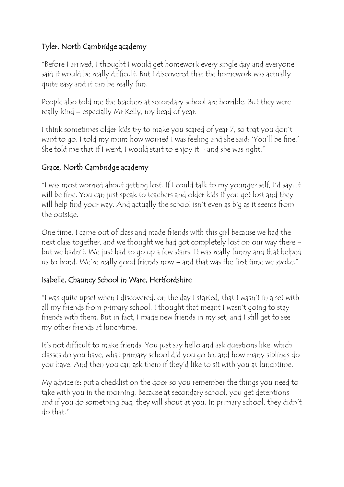### Tyler, North Cambridge academy

"Before I arrived, I thought I would get homework every single day and everyone said it would be really difficult. But I discovered that the homework was actually quite easy and it can be really fun.

People also told me the teachers at secondary school are horrible. But they were really kind – especially Mr Kelly, my head of year.

I think sometimes older kids try to make you scared of year 7, so that you don't want to go. I told my mum how worried I was feeling and she said: 'You'll be fine.' She told me that if I went, I would start to enjoy it – and she was right."

#### Grace, North Cambridge academy

"I was most worried about getting lost. If I could talk to my younger self, I'd say: it will be fine. You can just speak to teachers and older kids if you get lost and they will help find your way. And actually the school isn't even as big as it seems from the outside.

One time, I came out of class and made friends with this girl because we had the next class together, and we thought we had got completely lost on our way there – but we hadn't. We just had to go up a few stairs. It was really funny and that helped us to bond. We're really good friends now – and that was the first time we spoke."

#### Isabelle, Chauncy School in Ware, Hertfordshire

"I was quite upset when I discovered, on the day I started, that I wasn't in a set with all my friends from primary school. I thought that meant I wasn't going to stay friends with them. But in fact, I made new friends in my set, and I still get to see my other friends at lunchtime.

It's not difficult to make friends. You just say hello and ask questions like: which classes do you have, what primary school did you go to, and how many siblings do you have. And then you can ask them if they'd like to sit with you at lunchtime.

My advice is: put a checklist on the door so you remember the things you need to take with you in the morning. Because at secondary school, you get detentions and if you do something bad, they will shout at you. In primary school, they didn't do that."